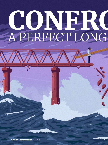# CONFRO A PERFECT LONG

**FINANCE & DEVELOPMENT** | June 2022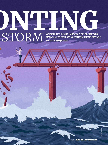# **CONFRONTING WE MUSEUM CONFRONTING TO THE VEHICLE SCRIPTION CONFRONTING CONFRONTING CONFRONTING CONFRONTING CONFRONTING CONFRONTING CONFRONTING CONFRONTING CONFRONTING CONFRONTING CONFRONTING CONFRONTING CONFRONTING CONFRO** STORM to serve both collective and national interests more effectively **Tharman Shanmugaratnam**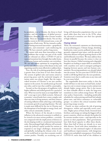

he pandemic, war in Ukraine, the threat to food security, and the resurgence of global poverty. Heatwaves, droughts, and other extreme weather events. These are not random shocks. Nor are they a perfect storm in the conventional sense, a one-off conjuncture of bad events. We face instead a confluence of lasting structural insecurities—geopolitical, economic, and existential—each reinforcing the other. We have entered a perfect long storm.

We cannot wish away these insecurities or hope that problems that occupy one part of the world will not rebound on others. COVID-19 and its repeated mutations have brought that reality home, at immense human and economic cost everywhere. We can only restore optimism by recognizing the gravity and collective nature of the threats we face and organizing ourselves more effectively to address them.

First, the risk of escalating geopolitical conflict is greater than it has been in over three decades. The system of global rules and norms aimed at preserving peace and the territorial integrity of nation states was always fragile. But the unprovoked invasion of Ukraine is not just another rupture in the system. Its ramifications go beyond any other, and in ways that could be catastrophic.

Second, we face the prospect of stagflation, with higher inflation and stalled growth for a period of time. What was seen by many as an improbable "tail risk" a year ago is now a likely scenario. Advanced economies' central banks have a more complex task than any time in living memory, and their chances of taming inflation while achieving a soft landing in economic growth are getting slimmer. The task is made more difficult by the war in Ukraine and the disruptions it has brought to energy, food, and other critical commodity markets.

When the history of the decade is written, inflation in the advanced economies is unlikely to be viewed as its most serious problem—certainly not compared with the implications of distress in the developing world or a weakened international order. But prolonged high inflation will seriously erode the political capital needed for nations to respond to our larger challenges, domestically and globally, including the climate crisis. It can set the world back in ways that economic models cannot predict. Notably, an escalating cost of living will demoralize populations that are now much older than they were in the 1970s, when the advanced economies saw their last episode of high inflation.

# Flying blind

Third, the existential commons are deteriorating at an accelerating pace. Climate change, shrinking biodiversity, water scarcity, polluted oceans, a dangerously congested outer space, and the spread of infectious diseases will pose growing threats to life and livelihoods everywhere. We must address these threats in parallel because the science is clear on how they interact. Global warming and a degraded biosphere are leading to major shifts in animal life, with countless new and re-emergent pathogens hopping between species and into human communities. Recurring pandemics are already baked into the system. Yet two years into COVID-19, the world is still flying blind into the next pandemic. Scientists warn that it could come at any time and be even more lethal.

The unpalatable short-term reality is that the world will have to rely more on fossil fuels, including even coal, to ensure energy security and prevent sharply higher energy prices. But it also means we must redouble efforts to make the long-term transition to a low-carbon energy future. We need clear policy frameworks—including predictable schedules for carbon pricing and fossil fuel subsidy phase-outs, and direct assistance to vulnerable groups—to achieve this critical transition while preserving energy security.

Fourth, we must confront the risk of growing divergences, within and especially across countries. Higher prices of basic foods, livestock feed, fertilizer, and energy are taking the biggest toll on poorer countries, which are already the hardest hit by extreme weather events—and especially on the poorest in their populations. Their governments have little fiscal capacity to offset these shocks. More than half of them are already in or near debt distress. Faced with these immediate constraints, we risk continued neglect of education and healthcare improvements, with dangerous longer-term and global consequences. Even before COVID-19, more than half of the children in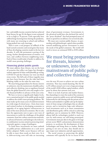# A MORE FRAGMENTED WORLD

low- and middle-income countries had not achieved basic literacy by age 10; the figure is now estimated to be as high as 70 percent. Girls especially have suffered large learning losses during the pandemic, with many not returning to school and millions being pushed into early marriage.

There is now a real prospect of rollback of the hard-earned economic and social gains that many of these developing countries made in the last two decades. It will risk permanent scarring of the young, further disempowerment of women, civil wars, and conflicts between neighboring states. Each of these would make it harder to address the world's most pressing challenges.

## Financing global public goods

We must address these threats, not on the basis of scenarios that reflect our hopes but through a realistic appraisal of what could plausibly go wrong. COVID-19 and the Ukraine war were not black swan events. The full scale of these tragedies may not have been foreseen, but the risks had been blinking visibly on the radar for some time.

We must bring preparedness for threats, known or unknown, into the mainstream of public policy and collective thinking, just as regulators learned from the global financial crisis and sought to fortify financial buffers in advance of the next crisis.

We have to invest at significantly higher levels, over a sustained period, in the public goods needed to address the world's most pressing problems. We must make up for many years of underinvestment in a wide range of critical areas—from clean water and trained teachers in developing economies to upgrades of an aging logistics infrastructure in some of the most advanced economies. But we also have the opportunity now to spur a new wave of innovations to tackle the challenges of the global commons, from low-carbon construction materials, to advanced batteries and hydrogen electrolyzers, to combination vaccines aimed at protecting simultaneously against a range of pathogens.

To fund these investments we must embark on public-private collaboration on a scale never before adopted. Public sector finances will not be able to meet these needs on their own. As it is, debt-servicing costs will take an increasing share of government revenues. Governments in the advanced world have also declared the end of the "peace dividend" that had prompted many of them to spend less on defense over several decades.

We must now reorient public finance, in partnership with philanthropic capital where possible, toward mobilizing private investment to meet the needs of the global commons. The world will need to invest an estimated \$100 to \$150 trillion

# We must bring preparedness for threats, known or unknown, into the mainstream of public policy and collective thinking.

over the next 30 years to achieve net zero carbon emissions. That may sound daunting. But the \$3 to \$5 trillion annual cost is not a large percentage of the world's \$100 trillion capital markets, which grow by about that amount each year.

There is no lack of private and market finance. But channeling it to meet the needs of the commons requires a proactive public sector and well-designed frameworks for risk-sharing with the private sector. Policies and standards to rapidly scale up the deployment of clean energy technologies that are already proven, and to incentivize large scale infrastructural investments such as in smart transmission and distribution grids, will be critical to achieving significant cuts in emissions by 2030. However, almost half the technologies needed to reach net zero by mid-century are still being prototyped. Governments must put skin in the game to leverage private sector R&D, and promote demonstration projects, to accelerate the development of these technologies and bring them to market. Besides getting to net zero on time, they should aim to spur major new industries and job opportunities.

The social returns to protecting the global commons will typically be far in excess of the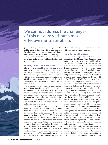# We cannot address the challenges of this new era without a more effective multilateralism.

private returns, which makes a strong case for the public sector to share risks with private investors. Developing and producing vaccines at scale for the next pandemic is a strong illustration of the point. A project to immunize the world's population even six months earlier will save trillions of dollars and countless lives.

## Making multilateralism work

However, we cannot address the challenges of this new era without a more effective multilateralism. UN Secretary-General António Guterres' report, Our Common Agenda, sets out a bold and credible vision of multilateralism: one that is more inclusive of different voices, more tightly networked, as well as more effective in delivering outcomes and hence more trusted.

It does not require a root and branch reconstruction of multilateralism or building entirely new institutions. But we have to move with urgency to reorient existing institutions for a new era, devise new mechanisms for networked cooperation among the multilaterals and other institutions including non-state players, and pool resources in ways that can meet both nations' collective interests and self-interests more effectively.

First, we need new thinking on the global commons. We must view money spent on strengthening them not as aid to the rest of the world but as an investment that benefits nations both rich and poor many times over. As the G20 High Level Independent Panel on financing pandemic security showed, the additional international investment required to plug major global gaps in preparedness, with contributions fairly distributed across countries, will not only be affordable for all but also enable us to avoid costs that would be several hundred times larger if we fail to act together to prevent another pandemic. The longstanding aversion to collective investment in pandemic preparedness

reflects political myopia and financial imprudence, which we must overcome urgently.

# Updating Bretton Woods

Second, we must repurpose the Bretton Woods institutions. The IMF and World Bank were set up almost 80 years ago to help with problems faced by countries individually, at a time when financial markets were mostly small and not interconnected. Their missions must be brought up to date for an era where financial crises are often global in nature, and where the deterioration of the global commons will pose an increasing economic challenge to all countries, most especially in the developing world.

The IMF and World Bank must be better resourced and empowered by their shareholders to make larger and swifter interventions in this new global era. The IMF must be given the mandate to manage a stronger and more effective global financial safety net, more akin to how the leading central banks inject stability at home when a crisis hits. The global commons must be placed at the core of the World Bank's mandate, together with poverty alleviation. It must also play a much bolder role as a multiplier of development finance. It must pivot more boldly toward mobilizing private capital, using risk guarantees and other credit-enhancement tools rather than direct lending on its own balance sheet. The World Bank and IMF must also work to join up operations with other international financial institutions and development partners to overcome today's fragmented efforts, build convergence around core standards such as on debt sustainability and procurement, and achieve greater development impact.

Third, we have to safeguard the digital commons. The positive agenda is clear. We must build the infrastructure and policy frameworks needed to close the digital divide and make serious efforts to close digital literacy gaps in every society. But we